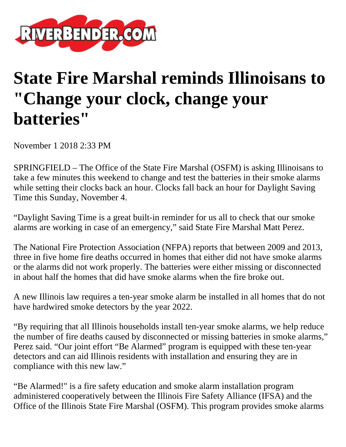

## **State Fire Marshal reminds Illinoisans to "Change your clock, change your batteries"**

November 1 2018 2:33 PM

SPRINGFIELD – The Office of the State Fire Marshal (OSFM) is asking Illinoisans to take a few minutes this weekend to change and test the batteries in their smoke alarms while setting their clocks back an hour. Clocks fall back an hour for Daylight Saving Time this Sunday, November 4.

"Daylight Saving Time is a great built-in reminder for us all to check that our smoke alarms are working in case of an emergency," said State Fire Marshal Matt Perez.

The National Fire Protection Association (NFPA) reports that between 2009 and 2013, three in five home fire deaths occurred in homes that either did not have smoke alarms or the alarms did not work properly. The batteries were either missing or disconnected in about half the homes that did have smoke alarms when the fire broke out.

A new Illinois law requires a ten-year smoke alarm be installed in all homes that do not have hardwired smoke detectors by the year 2022.

"By requiring that all Illinois households install ten-year smoke alarms, we help reduce the number of fire deaths caused by disconnected or missing batteries in smoke alarms," Perez said. "Our joint effort "Be Alarmed" program is equipped with these ten-year detectors and can aid Illinois residents with installation and ensuring they are in compliance with this new law."

"Be Alarmed!" is a fire safety education and smoke alarm installation program administered cooperatively between the Illinois Fire Safety Alliance (IFSA) and the Office of the Illinois State Fire Marshal (OSFM). This program provides smoke alarms